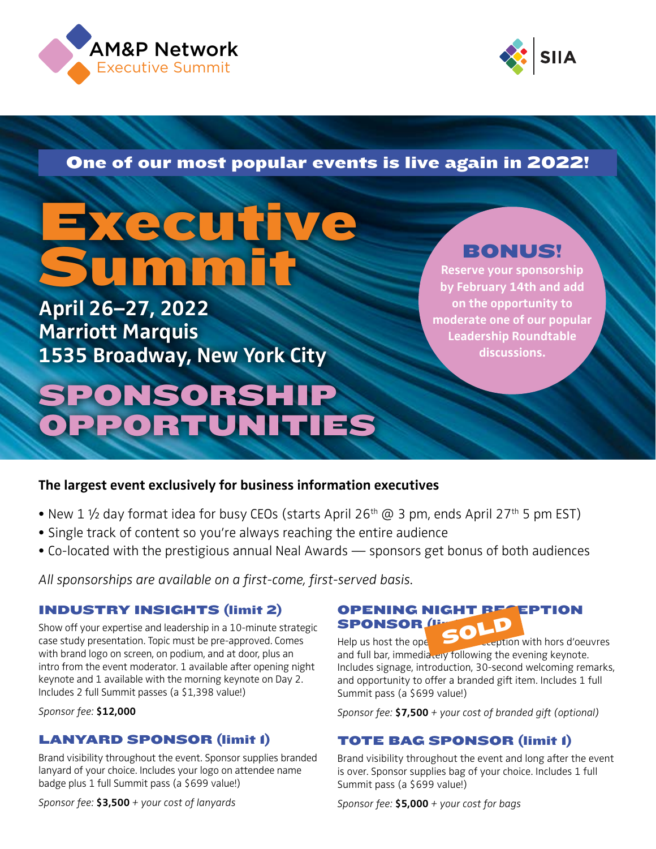



**JAH AVA** lar c 68 AM&P Network One of our most popular events is live again in 2022!

# Executive **Summit**

**April 26–27, 2022 Marriott Marquis 1535 Broadway, New York City**

## SPONSORSHIP OPPORTUNITIES

### BONUS!

**Reserve your sponsorship by February 14th and add on the opportunity to moderate one of our popular Leadership Roundtable discussions.**

#### **The largest event exclusively for business information executives**

- New 1  $\frac{1}{2}$  day format idea for busy CEOs (starts April 26<sup>th</sup> @ 3 pm, ends April 27<sup>th</sup> 5 pm EST)
- Single track of content so you're always reaching the entire audience
- Co-located with the prestigious annual Neal Awards sponsors get bonus of both audiences

*All sponsorships are available on a first-come, first-served basis.*

#### INDUSTRY INSIGHTS (limit 2)

Show off your expertise and leadership in a 10-minute strategic case study presentation. Topic must be pre-approved. Comes with brand logo on screen, on podium, and at door, plus an intro from the event moderator. 1 available after opening night keynote and 1 available with the morning keynote on Day 2. Includes 2 full Summit passes (a \$1,398 value!)

*Sponsor fee:* **\$12,000**

#### LANYARD SPONSOR (limit 1)

Brand visibility throughout the event. Sponsor supplies branded lanyard of your choice. Includes your logo on attendee name badge plus 1 full Summit pass (a \$699 value!)

*Sponsor fee:* **\$3,500** *+ your cost of lanyards*

#### **OPENING NIGHT BESEPTION** SPONSOR (li **SPONSOR SOLD**<br>Help us host the opening SOL exeption with hors d'oeuvres

and full bar, immediately following the evening keynote. Includes signage, introduction, 30-second welcoming remarks, and opportunity to offer a branded gift item. Includes 1 full Summit pass (a \$699 value!)

*Sponsor fee:* **\$7,500** *+ your cost of branded gift (optional)*

#### TOTE BAG SPONSOR (limit 1)

Brand visibility throughout the event and long after the event is over. Sponsor supplies bag of your choice. Includes 1 full Summit pass (a \$699 value!)

*Sponsor fee:* **\$5,000** *+ your cost for bags*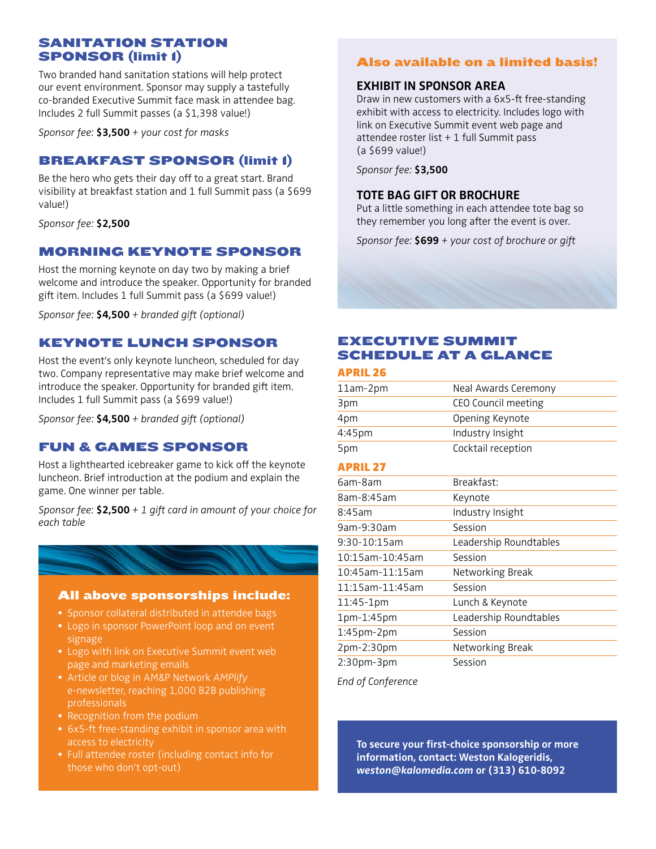#### SANITATION STATION SPONSOR (limit 1)

Two branded hand sanitation stations will help protect our event environment. Sponsor may supply a tastefully co-branded Executive Summit face mask in attendee bag. Includes 2 full Summit passes (a \$1,398 value!)

*Sponsor fee:* **\$3,500** *+ your cost for masks*

#### BREAKFAST SPONSOR (limit 1)

Be the hero who gets their day off to a great start. Brand visibility at breakfast station and 1 full Summit pass (a \$699 value!)

*Sponsor fee:* **\$2,500**

#### MORNING KEYNOTE SPONSOR

Host the morning keynote on day two by making a brief welcome and introduce the speaker. Opportunity for branded gift item. Includes 1 full Summit pass (a \$699 value!)

*Sponsor fee:* **\$4,500** *+ branded gift (optional)*

#### KEYNOTE LUNCH SPONSOR

Host the event's only keynote luncheon, scheduled for day two. Company representative may make brief welcome and introduce the speaker. Opportunity for branded gift item. Includes 1 full Summit pass (a \$699 value!)

*Sponsor fee:* **\$4,500** *+ branded gift (optional)*

#### FUN & GAMES SPONSOR

Host a lighthearted icebreaker game to kick off the keynote luncheon. Brief introduction at the podium and explain the game. One winner per table.

*Sponsor fee:* **\$2,500** *+ 1 gift card in amount of your choice for each table*



#### All above sponsorships include:

- Sponsor collateral distributed in attendee bags
- Logo in sponsor PowerPoint loop and on event signage
- Logo with link on Executive Summit event web page and marketing emails
- Article or blog in AM&P Network *AMPlify* e-newsletter, reaching 1,000 B2B publishing professionals
- Recognition from the podium
- 6x5-ft free-standing exhibit in sponsor area with access to electricity
- Full attendee roster (including contact info for those who don't opt-out)

#### Also available on a limited basis!

#### **EXHIBIT IN SPONSOR AREA**

Draw in new customers with a 6x5-ft free-standing exhibit with access to electricity. Includes logo with link on Executive Summit event web page and attendee roster list + 1 full Summit pass (a \$699 value!)

*Sponsor fee:* **\$3,500**

#### **TOTE BAG GIFT OR BROCHURE**

Put a little something in each attendee tote bag so they remember you long after the event is over.

*Sponsor fee:* **\$699** *+ your cost of brochure or gift*

#### EXECUTIVE SUMMIT SCHEDULE AT A GLANCE

#### APRIL 26

| 11am-2pm          | Neal Awards Ceremony   |  |
|-------------------|------------------------|--|
| 3pm               | CEO Council meeting    |  |
| 4pm               | Opening Keynote        |  |
| 4:45pm            | Industry Insight       |  |
| 5pm               | Cocktail reception     |  |
| <b>APRIL 27</b>   |                        |  |
| 6am-8am           | Breakfast:             |  |
| 8am-8:45am        | Keynote                |  |
| 8:45am            | Industry Insight       |  |
| 9am-9:30am        | Session                |  |
| 9:30-10:15am      | Leadership Roundtables |  |
| 10:15am-10:45am   | Session                |  |
| 10:45am-11:15am   | Networking Break       |  |
| 11:15am-11:45am   | Session                |  |
| 11:45-1pm         | Lunch & Keynote        |  |
| 1pm-1:45pm        | Leadership Roundtables |  |
| $1:45$ pm- $2$ pm | Session                |  |
| 2pm-2:30pm        | Networking Break       |  |
| $2:30$ pm- $3$ pm | Session                |  |

*End of Conference*

**To secure your first-choice sponsorship or more information, contact: Weston Kalogeridis,**  *[weston@kalomedia.com](mailto:weston@kalomedia.com)* **or (313) 610-8092**